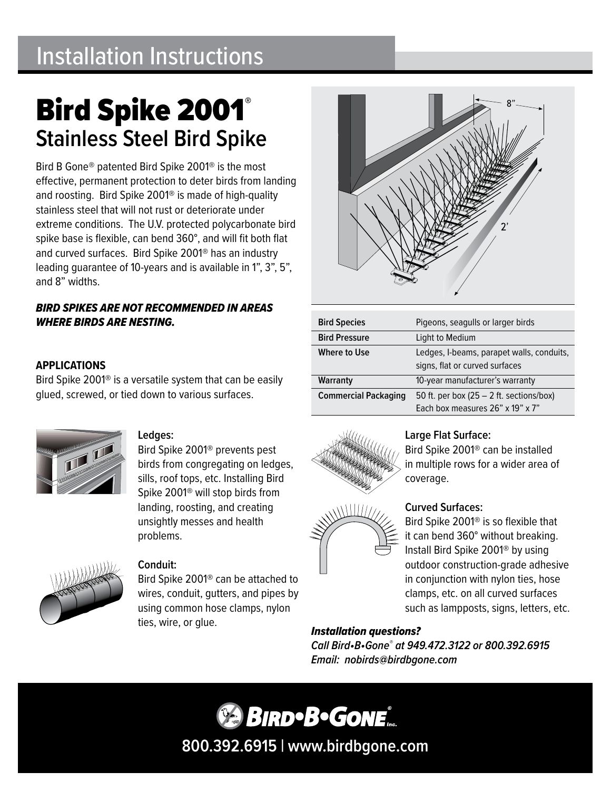# Installation Instructions

# Bird Spike 2001® **Stainless Steel Bird Spike**

Bird B Gone® patented Bird Spike 2001® is the most effective, permanent protection to deter birds from landing and roosting. Bird Spike 2001® is made of high-quality stainless steel that will not rust or deteriorate under extreme conditions. The U.V. protected polycarbonate bird spike base is flexible, can bend 360°, and will fit both flat and curved surfaces. Bird Spike 2001® has an industry leading guarantee of 10-years and is available in 1", 3", 5", and 8" widths.

# *BIRD SPIKES ARE NOT RECOMMENDED IN AREAS WHERE BIRDS ARE NESTING.*

# **APPLICATIONS**

Bird Spike 2001® is a versatile system that can be easily glued, screwed, or tied down to various surfaces.



# **Ledges:**

Bird Spike 2001® prevents pest birds from congregating on ledges, sills, roof tops, etc. Installing Bird Spike 2001® will stop birds from landing, roosting, and creating unsightly messes and health problems.



### **Conduit:**

Bird Spike 2001® can be attached to wires, conduit, gutters, and pipes by using common hose clamps, nylon ties, wire, or glue.



| <b>Bird Species</b>         | Pigeons, seagulls or larger birds                                           |
|-----------------------------|-----------------------------------------------------------------------------|
| <b>Bird Pressure</b>        | Light to Medium                                                             |
| Where to Use                | Ledges, I-beams, parapet walls, conduits,<br>signs, flat or curved surfaces |
| Warranty                    | 10-year manufacturer's warranty                                             |
| <b>Commercial Packaging</b> | 50 ft. per box $(25 – 2$ ft. sections/box)                                  |
|                             | Each box measures 26" x 19" x 7"                                            |



**WILLIAM** 

# **Large Flat Surface:**

Bird Spike 2001® can be installed in multiple rows for a wider area of coverage.

# **Curved Surfaces:**

Bird Spike 2001® is so flexible that it can bend 360° without breaking. Install Bird Spike 2001® by using outdoor construction-grade adhesive in conjunction with nylon ties, hose clamps, etc. on all curved surfaces such as lampposts, signs, letters, etc.

*Installation questions? Call Bird•B•Gone® at 949.472.3122 or 800.392.6915 Email: nobirds@birdbgone.com*

**BIRDBGONE 800.392.6915 | www.birdbgone.com**